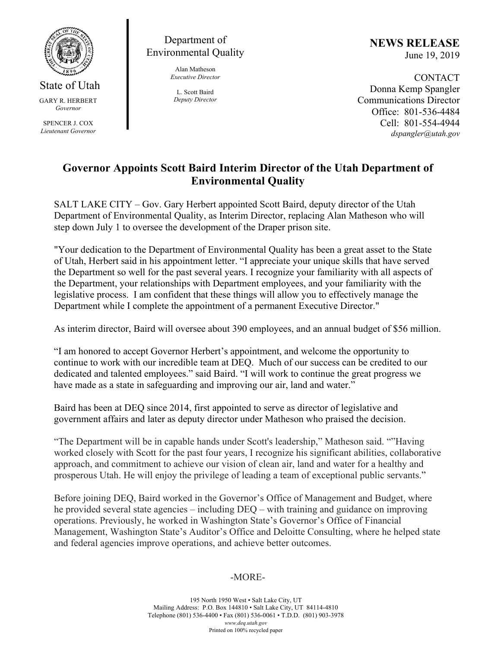

State of Utah GARY R. HERBERT *Governor* 

SPENCER J. COX *Lieutenant Governor* 

Department of Environmental Quality

> Alan Matheson *Executive Director*

L. Scott Baird *Deputy Director*  **NEWS RELEASE** June 19, 2019

**CONTACT** Donna Kemp Spangler Communications Director Office: 801-536-4484 Cell: 801-554-4944 *dspangler@utah.gov* 

## **Governor Appoints Scott Baird Interim Director of the Utah Department of Environmental Quality**

SALT LAKE CITY – Gov. Gary Herbert appointed Scott Baird, deputy director of the Utah Department of Environmental Quality, as Interim Director, replacing Alan Matheson who will step down July 1 to oversee the development of the Draper prison site.

"Your dedication to the Department of Environmental Quality has been a great asset to the State of Utah, Herbert said in his appointment letter. "I appreciate your unique skills that have served the Department so well for the past several years. I recognize your familiarity with all aspects of the Department, your relationships with Department employees, and your familiarity with the legislative process. I am confident that these things will allow you to effectively manage the Department while I complete the appointment of a permanent Executive Director."

As interim director, Baird will oversee about 390 employees, and an annual budget of \$56 million.

"I am honored to accept Governor Herbert's appointment, and welcome the opportunity to continue to work with our incredible team at DEQ. Much of our success can be credited to our dedicated and talented employees." said Baird. "I will work to continue the great progress we have made as a state in safeguarding and improving our air, land and water."

Baird has been at DEQ since 2014, first appointed to serve as director of legislative and government affairs and later as deputy director under Matheson who praised the decision.

"The Department will be in capable hands under Scott's leadership," Matheson said. ""Having worked closely with Scott for the past four years, I recognize his significant abilities, collaborative approach, and commitment to achieve our vision of clean air, land and water for a healthy and prosperous Utah. He will enjoy the privilege of leading a team of exceptional public servants."

Before joining DEQ, Baird worked in the Governor's Office of Management and Budget, where he provided several state agencies – including DEQ – with training and guidance on improving operations. Previously, he worked in Washington State's Governor's Office of Financial Management, Washington State's Auditor's Office and Deloitte Consulting, where he helped state and federal agencies improve operations, and achieve better outcomes.

## -MORE-

195 North 1950 West • Salt Lake City, UT Mailing Address: P.O. Box 144810 • Salt Lake City, UT 84114-4810 Telephone (801) 536-4400 • Fax (801) 536-0061 • T.D.D. (801) 903-3978 *www.deq.utah.gov*  Printed on 100% recycled paper